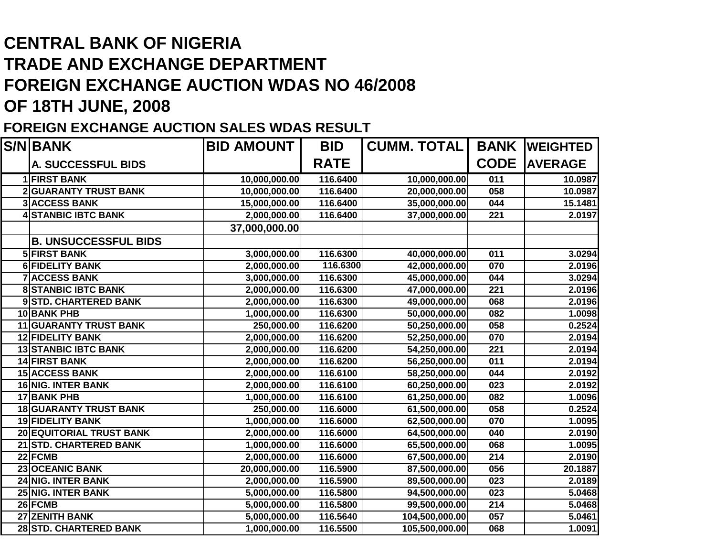## **CENTRAL BANK OF NIGERIA TRADE AND EXCHANGE DEPARTMENT FOREIGN EXCHANGE AUCTION WDAS NO 46/2008OF 18TH JUNE, 2008**

## **FOREIGN EXCHANGE AUCTION SALES WDAS RESULT**

| <b>S/N BANK</b>             | <b>BID AMOUNT</b> | <b>BID</b>  | <b>CUMM. TOTAL</b> |             | <b>BANK  WEIGHTED</b> |
|-----------------------------|-------------------|-------------|--------------------|-------------|-----------------------|
| <b>A. SUCCESSFUL BIDS</b>   |                   | <b>RATE</b> |                    | <b>CODE</b> | <b>AVERAGE</b>        |
| <b>1 FIRST BANK</b>         | 10,000,000.00     | 116.6400    | 10,000,000.00      | 011         | 10.0987               |
| 2 GUARANTY TRUST BANK       | 10,000,000.00     | 116.6400    | 20,000,000.00      | 058         | 10.0987               |
| <b>3 ACCESS BANK</b>        | 15,000,000.00     | 116.6400    | 35,000,000.00      | 044         | 15.1481               |
| <b>4 STANBIC IBTC BANK</b>  | 2,000,000.00      | 116.6400    | 37,000,000.00      | 221         | 2.0197                |
|                             | 37,000,000.00     |             |                    |             |                       |
| <b>B. UNSUCCESSFUL BIDS</b> |                   |             |                    |             |                       |
| <b>5 FIRST BANK</b>         | 3,000,000.00      | 116.6300    | 40,000,000.00      | 011         | 3.0294                |
| 6 FIDELITY BANK             | 2,000,000.00      | 116.6300    | 42,000,000.00      | 070         | 2.0196                |
| <b>7 ACCESS BANK</b>        | 3,000,000.00      | 116.6300    | 45,000,000.00      | 044         | 3.0294                |
| <b>8 STANBIC IBTC BANK</b>  | 2,000,000.00      | 116.6300    | 47,000,000.00      | 221         | 2.0196                |
| 9STD. CHARTERED BANK        | 2,000,000.00      | 116.6300    | 49,000,000.00      | 068         | 2.0196                |
| 10 BANK PHB                 | 1,000,000.00      | 116.6300    | 50,000,000.00      | 082         | 1.0098                |
| 11 GUARANTY TRUST BANK      | 250,000.00        | 116.6200    | 50,250,000.00      | 058         | 0.2524                |
| <b>12 FIDELITY BANK</b>     | 2,000,000.00      | 116.6200    | 52,250,000.00      | 070         | 2.0194                |
| <b>13 STANBIC IBTC BANK</b> | 2,000,000.00      | 116.6200    | 54,250,000.00      | 221         | 2.0194                |
| <b>14 FIRST BANK</b>        | 2,000,000.00      | 116.6200    | 56,250,000.00      | 011         | 2.0194                |
| <b>15 ACCESS BANK</b>       | 2,000,000.00      | 116.6100    | 58,250,000.00      | 044         | 2.0192                |
| 16 NIG. INTER BANK          | 2,000,000.00      | 116.6100    | 60,250,000.00      | 023         | 2.0192                |
| <b>17 BANK PHB</b>          | 1,000,000.00      | 116.6100    | 61,250,000.00      | 082         | 1.0096                |
| 18 GUARANTY TRUST BANK      | 250,000.00        | 116.6000    | 61,500,000.00      | 058         | 0.2524                |
| <b>19 FIDELITY BANK</b>     | 1,000,000.00      | 116.6000    | 62,500,000.00      | 070         | 1.0095                |
| 20 EQUITORIAL TRUST BANK    | 2,000,000.00      | 116.6000    | 64,500,000.00      | 040         | 2.0190                |
| 21 STD. CHARTERED BANK      | 1,000,000.00      | 116.6000    | 65,500,000.00      | 068         | 1.0095                |
| 22 FCMB                     | 2,000,000.00      | 116.6000    | 67,500,000.00      | 214         | 2.0190                |
| 23 OCEANIC BANK             | 20,000,000.00     | 116.5900    | 87,500,000.00      | 056         | 20.1887               |
| 24 NIG. INTER BANK          | 2,000,000.00      | 116.5900    | 89,500,000.00      | 023         | 2.0189                |
| 25 NIG. INTER BANK          | 5,000,000.00      | 116.5800    | 94,500,000.00      | 023         | 5.0468                |
| 26 FCMB                     | 5,000,000.00      | 116.5800    | 99,500,000.00      | 214         | 5.0468                |
| 27 ZENITH BANK              | 5,000,000.00      | 116.5640    | 104,500,000.00     | 057         | 5.0461                |
| 28 STD. CHARTERED BANK      | 1,000,000.00      | 116.5500    | 105,500,000.00     | 068         | 1.0091                |